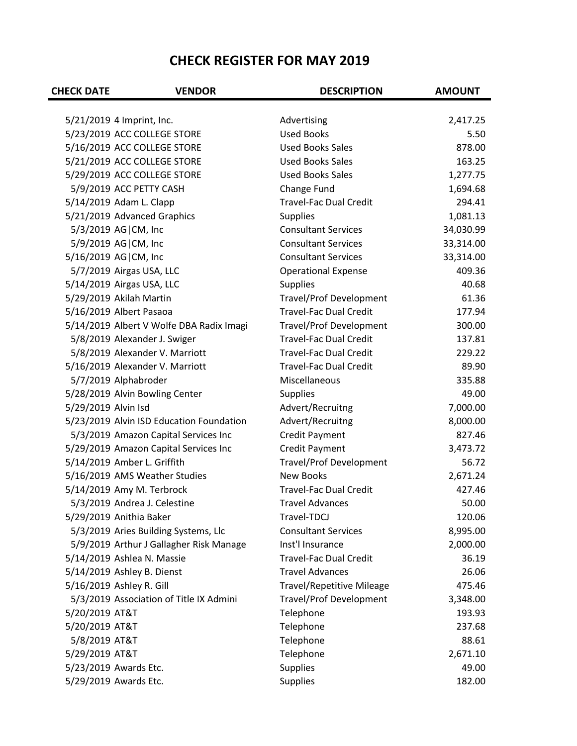## **CHECK REGISTER FOR MAY 2019**

| <b>CHECK DATE</b>   | <b>VENDOR</b>                                            | <b>DESCRIPTION</b>                                       | <b>AMOUNT</b>       |
|---------------------|----------------------------------------------------------|----------------------------------------------------------|---------------------|
|                     |                                                          |                                                          |                     |
|                     | 5/21/2019 4 Imprint, Inc.<br>5/23/2019 ACC COLLEGE STORE | Advertising<br><b>Used Books</b>                         | 2,417.25            |
|                     | 5/16/2019 ACC COLLEGE STORE                              | <b>Used Books Sales</b>                                  | 5.50<br>878.00      |
|                     |                                                          |                                                          |                     |
|                     | 5/21/2019 ACC COLLEGE STORE                              | <b>Used Books Sales</b><br><b>Used Books Sales</b>       | 163.25              |
|                     | 5/29/2019 ACC COLLEGE STORE                              |                                                          | 1,277.75            |
|                     | 5/9/2019 ACC PETTY CASH                                  | Change Fund<br><b>Travel-Fac Dual Credit</b>             | 1,694.68            |
|                     | 5/14/2019 Adam L. Clapp                                  |                                                          | 294.41              |
|                     | 5/21/2019 Advanced Graphics                              | <b>Supplies</b><br><b>Consultant Services</b>            | 1,081.13            |
|                     | 5/3/2019 AG CM, Inc                                      | <b>Consultant Services</b>                               | 34,030.99           |
|                     | 5/9/2019 AG CM, Inc                                      | <b>Consultant Services</b>                               | 33,314.00           |
|                     | 5/16/2019 AG   CM, Inc<br>5/7/2019 Airgas USA, LLC       |                                                          | 33,314.00<br>409.36 |
|                     |                                                          | <b>Operational Expense</b>                               |                     |
|                     | 5/14/2019 Airgas USA, LLC                                | <b>Supplies</b>                                          | 40.68               |
|                     | 5/29/2019 Akilah Martin                                  | Travel/Prof Development<br><b>Travel-Fac Dual Credit</b> | 61.36               |
|                     | 5/16/2019 Albert Pasaoa                                  |                                                          | 177.94              |
|                     | 5/14/2019 Albert V Wolfe DBA Radix Imagi                 | Travel/Prof Development                                  | 300.00              |
|                     | 5/8/2019 Alexander J. Swiger                             | <b>Travel-Fac Dual Credit</b>                            | 137.81              |
|                     | 5/8/2019 Alexander V. Marriott                           | <b>Travel-Fac Dual Credit</b>                            | 229.22              |
|                     | 5/16/2019 Alexander V. Marriott                          | <b>Travel-Fac Dual Credit</b>                            | 89.90               |
|                     | 5/7/2019 Alphabroder                                     | Miscellaneous                                            | 335.88              |
|                     | 5/28/2019 Alvin Bowling Center                           | <b>Supplies</b>                                          | 49.00               |
| 5/29/2019 Alvin Isd |                                                          | Advert/Recruitng                                         | 7,000.00            |
|                     | 5/23/2019 Alvin ISD Education Foundation                 | Advert/Recruitng                                         | 8,000.00            |
|                     | 5/3/2019 Amazon Capital Services Inc                     | <b>Credit Payment</b>                                    | 827.46              |
|                     | 5/29/2019 Amazon Capital Services Inc                    | <b>Credit Payment</b>                                    | 3,473.72            |
|                     | 5/14/2019 Amber L. Griffith                              | <b>Travel/Prof Development</b>                           | 56.72               |
|                     | 5/16/2019 AMS Weather Studies                            | <b>New Books</b>                                         | 2,671.24            |
|                     | 5/14/2019 Amy M. Terbrock                                | <b>Travel-Fac Dual Credit</b>                            | 427.46              |
|                     | 5/3/2019 Andrea J. Celestine                             | <b>Travel Advances</b>                                   | 50.00               |
|                     | 5/29/2019 Anithia Baker                                  | Travel-TDCJ                                              | 120.06              |
|                     | 5/3/2019 Aries Building Systems, Llc                     | <b>Consultant Services</b>                               | 8,995.00            |
|                     | 5/9/2019 Arthur J Gallagher Risk Manage                  | Inst'l Insurance                                         | 2,000.00            |
|                     | 5/14/2019 Ashlea N. Massie                               | <b>Travel-Fac Dual Credit</b>                            | 36.19               |
|                     | 5/14/2019 Ashley B. Dienst                               | <b>Travel Advances</b>                                   | 26.06               |
|                     | 5/16/2019 Ashley R. Gill                                 | <b>Travel/Repetitive Mileage</b>                         | 475.46              |
|                     | 5/3/2019 Association of Title IX Admini                  | <b>Travel/Prof Development</b>                           | 3,348.00            |
| 5/20/2019 AT&T      |                                                          | Telephone                                                | 193.93              |
| 5/20/2019 AT&T      |                                                          | Telephone                                                | 237.68              |
| 5/8/2019 AT&T       |                                                          | Telephone                                                | 88.61               |
| 5/29/2019 AT&T      |                                                          | Telephone                                                | 2,671.10            |
|                     | 5/23/2019 Awards Etc.                                    | <b>Supplies</b>                                          | 49.00               |
|                     | 5/29/2019 Awards Etc.                                    | <b>Supplies</b>                                          | 182.00              |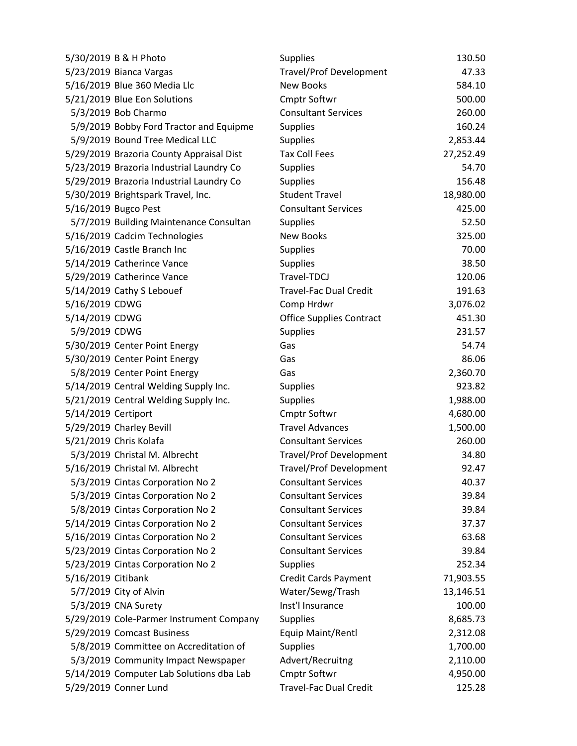| 5/30/2019 B & H Photo                    | <b>Supplies</b>                 | 130.50    |
|------------------------------------------|---------------------------------|-----------|
| 5/23/2019 Bianca Vargas                  | <b>Travel/Prof Development</b>  | 47.33     |
| 5/16/2019 Blue 360 Media Llc             | New Books                       | 584.10    |
| 5/21/2019 Blue Eon Solutions             | Cmptr Softwr                    | 500.00    |
| 5/3/2019 Bob Charmo                      | <b>Consultant Services</b>      | 260.00    |
| 5/9/2019 Bobby Ford Tractor and Equipme  | <b>Supplies</b>                 | 160.24    |
| 5/9/2019 Bound Tree Medical LLC          | <b>Supplies</b>                 | 2,853.44  |
| 5/29/2019 Brazoria County Appraisal Dist | <b>Tax Coll Fees</b>            | 27,252.49 |
| 5/23/2019 Brazoria Industrial Laundry Co | <b>Supplies</b>                 | 54.70     |
| 5/29/2019 Brazoria Industrial Laundry Co | <b>Supplies</b>                 | 156.48    |
| 5/30/2019 Brightspark Travel, Inc.       | <b>Student Travel</b>           | 18,980.00 |
| 5/16/2019 Bugco Pest                     | <b>Consultant Services</b>      | 425.00    |
| 5/7/2019 Building Maintenance Consultan  | <b>Supplies</b>                 | 52.50     |
| 5/16/2019 Cadcim Technologies            | New Books                       | 325.00    |
| 5/16/2019 Castle Branch Inc              | <b>Supplies</b>                 | 70.00     |
| 5/14/2019 Catherince Vance               | <b>Supplies</b>                 | 38.50     |
| 5/29/2019 Catherince Vance               | Travel-TDCJ                     | 120.06    |
| 5/14/2019 Cathy S Lebouef                | <b>Travel-Fac Dual Credit</b>   | 191.63    |
| 5/16/2019 CDWG                           | Comp Hrdwr                      | 3,076.02  |
| 5/14/2019 CDWG                           | <b>Office Supplies Contract</b> | 451.30    |
| 5/9/2019 CDWG                            | <b>Supplies</b>                 | 231.57    |
| 5/30/2019 Center Point Energy            | Gas                             | 54.74     |
| 5/30/2019 Center Point Energy            | Gas                             | 86.06     |
| 5/8/2019 Center Point Energy             | Gas                             | 2,360.70  |
| 5/14/2019 Central Welding Supply Inc.    | <b>Supplies</b>                 | 923.82    |
| 5/21/2019 Central Welding Supply Inc.    | <b>Supplies</b>                 | 1,988.00  |
| 5/14/2019 Certiport                      | Cmptr Softwr                    | 4,680.00  |
| 5/29/2019 Charley Bevill                 | <b>Travel Advances</b>          | 1,500.00  |
| 5/21/2019 Chris Kolafa                   | <b>Consultant Services</b>      | 260.00    |
| 5/3/2019 Christal M. Albrecht            | <b>Travel/Prof Development</b>  | 34.80     |
| 5/16/2019 Christal M. Albrecht           | <b>Travel/Prof Development</b>  | 92.47     |
| 5/3/2019 Cintas Corporation No 2         | <b>Consultant Services</b>      | 40.37     |
| 5/3/2019 Cintas Corporation No 2         | <b>Consultant Services</b>      | 39.84     |
| 5/8/2019 Cintas Corporation No 2         | <b>Consultant Services</b>      | 39.84     |
| 5/14/2019 Cintas Corporation No 2        | <b>Consultant Services</b>      | 37.37     |
| 5/16/2019 Cintas Corporation No 2        | <b>Consultant Services</b>      | 63.68     |
| 5/23/2019 Cintas Corporation No 2        | <b>Consultant Services</b>      | 39.84     |
| 5/23/2019 Cintas Corporation No 2        | <b>Supplies</b>                 | 252.34    |
| 5/16/2019 Citibank                       | <b>Credit Cards Payment</b>     | 71,903.55 |
| 5/7/2019 City of Alvin                   | Water/Sewg/Trash                | 13,146.51 |
| 5/3/2019 CNA Surety                      | Inst'l Insurance                | 100.00    |
| 5/29/2019 Cole-Parmer Instrument Company | <b>Supplies</b>                 | 8,685.73  |
| 5/29/2019 Comcast Business               | Equip Maint/Rentl               | 2,312.08  |
| 5/8/2019 Committee on Accreditation of   | <b>Supplies</b>                 | 1,700.00  |
| 5/3/2019 Community Impact Newspaper      | Advert/Recruitng                | 2,110.00  |
| 5/14/2019 Computer Lab Solutions dba Lab | Cmptr Softwr                    | 4,950.00  |
| 5/29/2019 Conner Lund                    | <b>Travel-Fac Dual Credit</b>   | 125.28    |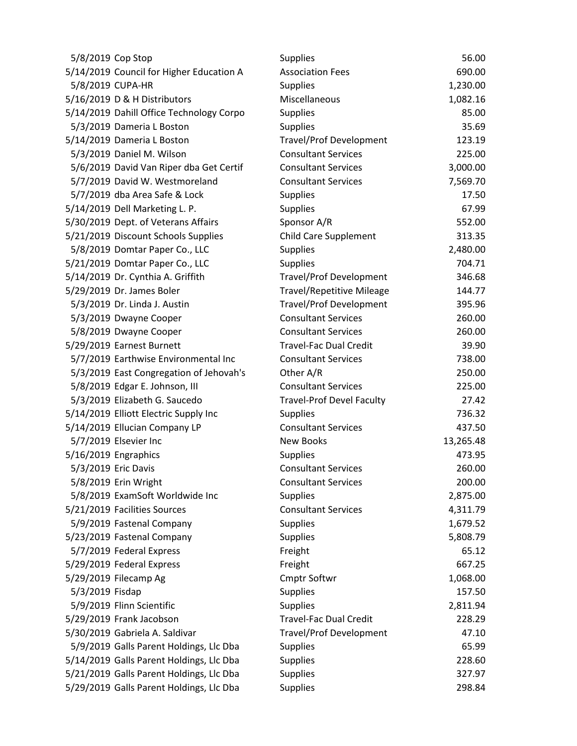| 5/8/2019 Cop Stop              |                                          | <b>Supplies</b>                  | 56.00     |
|--------------------------------|------------------------------------------|----------------------------------|-----------|
|                                | 5/14/2019 Council for Higher Education A | <b>Association Fees</b>          | 690.00    |
| 5/8/2019 CUPA-HR               |                                          | <b>Supplies</b>                  | 1,230.00  |
| 5/16/2019 D & H Distributors   |                                          | Miscellaneous                    | 1,082.16  |
|                                | 5/14/2019 Dahill Office Technology Corpo | <b>Supplies</b>                  | 85.00     |
| 5/3/2019 Dameria L Boston      |                                          | <b>Supplies</b>                  | 35.69     |
| 5/14/2019 Dameria L Boston     |                                          | <b>Travel/Prof Development</b>   | 123.19    |
| 5/3/2019 Daniel M. Wilson      |                                          | <b>Consultant Services</b>       | 225.00    |
|                                | 5/6/2019 David Van Riper dba Get Certif  | <b>Consultant Services</b>       | 3,000.00  |
|                                | 5/7/2019 David W. Westmoreland           | <b>Consultant Services</b>       | 7,569.70  |
|                                | 5/7/2019 dba Area Safe & Lock            | <b>Supplies</b>                  | 17.50     |
| 5/14/2019 Dell Marketing L. P. |                                          | <b>Supplies</b>                  | 67.99     |
|                                | 5/30/2019 Dept. of Veterans Affairs      | Sponsor A/R                      | 552.00    |
|                                | 5/21/2019 Discount Schools Supplies      | Child Care Supplement            | 313.35    |
|                                | 5/8/2019 Domtar Paper Co., LLC           | <b>Supplies</b>                  | 2,480.00  |
|                                | 5/21/2019 Domtar Paper Co., LLC          | <b>Supplies</b>                  | 704.71    |
|                                | 5/14/2019 Dr. Cynthia A. Griffith        | <b>Travel/Prof Development</b>   | 346.68    |
| 5/29/2019 Dr. James Boler      |                                          | <b>Travel/Repetitive Mileage</b> | 144.77    |
| 5/3/2019 Dr. Linda J. Austin   |                                          | <b>Travel/Prof Development</b>   | 395.96    |
| 5/3/2019 Dwayne Cooper         |                                          | <b>Consultant Services</b>       | 260.00    |
| 5/8/2019 Dwayne Cooper         |                                          | <b>Consultant Services</b>       | 260.00    |
| 5/29/2019 Earnest Burnett      |                                          | <b>Travel-Fac Dual Credit</b>    | 39.90     |
|                                | 5/7/2019 Earthwise Environmental Inc     | <b>Consultant Services</b>       | 738.00    |
|                                | 5/3/2019 East Congregation of Jehovah's  | Other A/R                        | 250.00    |
|                                | 5/8/2019 Edgar E. Johnson, III           | <b>Consultant Services</b>       | 225.00    |
|                                | 5/3/2019 Elizabeth G. Saucedo            | <b>Travel-Prof Devel Faculty</b> | 27.42     |
|                                | 5/14/2019 Elliott Electric Supply Inc    | <b>Supplies</b>                  | 736.32    |
|                                | 5/14/2019 Ellucian Company LP            | <b>Consultant Services</b>       | 437.50    |
| 5/7/2019 Elsevier Inc          |                                          | <b>New Books</b>                 | 13,265.48 |
| 5/16/2019 Engraphics           |                                          | <b>Supplies</b>                  | 473.95    |
| 5/3/2019 Eric Davis            |                                          | <b>Consultant Services</b>       | 260.00    |
| 5/8/2019 Erin Wright           |                                          | <b>Consultant Services</b>       | 200.00    |
|                                | 5/8/2019 ExamSoft Worldwide Inc          | <b>Supplies</b>                  | 2,875.00  |
| 5/21/2019 Facilities Sources   |                                          | <b>Consultant Services</b>       | 4,311.79  |
| 5/9/2019 Fastenal Company      |                                          | <b>Supplies</b>                  | 1,679.52  |
| 5/23/2019 Fastenal Company     |                                          | <b>Supplies</b>                  | 5,808.79  |
| 5/7/2019 Federal Express       |                                          | Freight                          | 65.12     |
| 5/29/2019 Federal Express      |                                          | Freight                          | 667.25    |
| 5/29/2019 Filecamp Ag          |                                          | <b>Cmptr Softwr</b>              | 1,068.00  |
| 5/3/2019 Fisdap                |                                          | <b>Supplies</b>                  | 157.50    |
| 5/9/2019 Flinn Scientific      |                                          | <b>Supplies</b>                  | 2,811.94  |
| 5/29/2019 Frank Jacobson       |                                          | <b>Travel-Fac Dual Credit</b>    | 228.29    |
| 5/30/2019 Gabriela A. Saldivar |                                          | <b>Travel/Prof Development</b>   | 47.10     |
|                                | 5/9/2019 Galls Parent Holdings, Llc Dba  | <b>Supplies</b>                  | 65.99     |
|                                | 5/14/2019 Galls Parent Holdings, Llc Dba | <b>Supplies</b>                  | 228.60    |
|                                | 5/21/2019 Galls Parent Holdings, Llc Dba | <b>Supplies</b>                  | 327.97    |
|                                | 5/29/2019 Galls Parent Holdings, Llc Dba | <b>Supplies</b>                  | 298.84    |
|                                |                                          |                                  |           |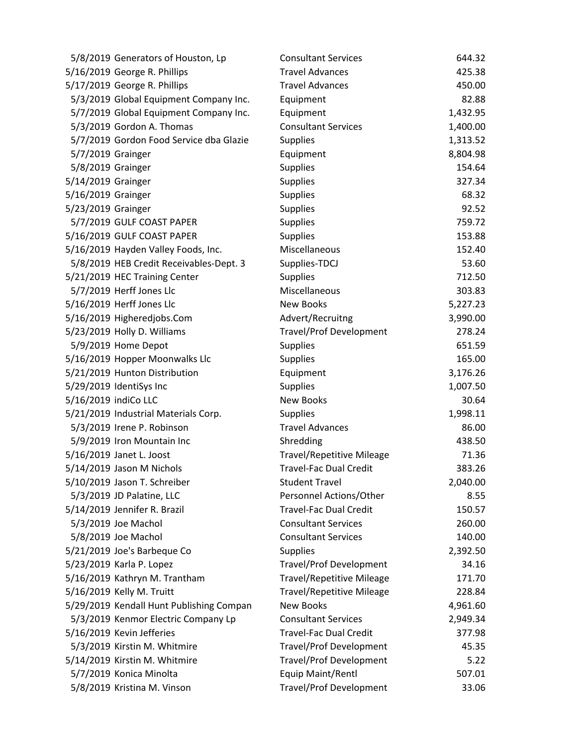| 5/8/2019 Generators of Houston, Lp       | <b>Consultant Services</b>       | 644.32   |
|------------------------------------------|----------------------------------|----------|
| 5/16/2019 George R. Phillips             | <b>Travel Advances</b>           | 425.38   |
| 5/17/2019 George R. Phillips             | <b>Travel Advances</b>           | 450.00   |
| 5/3/2019 Global Equipment Company Inc.   | Equipment                        | 82.88    |
| 5/7/2019 Global Equipment Company Inc.   | Equipment                        | 1,432.95 |
| 5/3/2019 Gordon A. Thomas                | <b>Consultant Services</b>       | 1,400.00 |
| 5/7/2019 Gordon Food Service dba Glazie  | <b>Supplies</b>                  | 1,313.52 |
| 5/7/2019 Grainger                        | Equipment                        | 8,804.98 |
| 5/8/2019 Grainger                        | <b>Supplies</b>                  | 154.64   |
| 5/14/2019 Grainger                       | <b>Supplies</b>                  | 327.34   |
| 5/16/2019 Grainger                       | <b>Supplies</b>                  | 68.32    |
| 5/23/2019 Grainger                       | <b>Supplies</b>                  | 92.52    |
| 5/7/2019 GULF COAST PAPER                | <b>Supplies</b>                  | 759.72   |
| 5/16/2019 GULF COAST PAPER               | Supplies                         | 153.88   |
| 5/16/2019 Hayden Valley Foods, Inc.      | Miscellaneous                    | 152.40   |
| 5/8/2019 HEB Credit Receivables-Dept. 3  | Supplies-TDCJ                    | 53.60    |
| 5/21/2019 HEC Training Center            | <b>Supplies</b>                  | 712.50   |
| 5/7/2019 Herff Jones Llc                 | Miscellaneous                    | 303.83   |
| 5/16/2019 Herff Jones Llc                | <b>New Books</b>                 | 5,227.23 |
| 5/16/2019 Higheredjobs.Com               | Advert/Recruitng                 | 3,990.00 |
| 5/23/2019 Holly D. Williams              | <b>Travel/Prof Development</b>   | 278.24   |
| 5/9/2019 Home Depot                      | <b>Supplies</b>                  | 651.59   |
| 5/16/2019 Hopper Moonwalks Llc           | <b>Supplies</b>                  | 165.00   |
| 5/21/2019 Hunton Distribution            | Equipment                        | 3,176.26 |
| 5/29/2019 IdentiSys Inc                  | Supplies                         | 1,007.50 |
| 5/16/2019 indiCo LLC                     | <b>New Books</b>                 | 30.64    |
| 5/21/2019 Industrial Materials Corp.     | <b>Supplies</b>                  | 1,998.11 |
| 5/3/2019 Irene P. Robinson               | <b>Travel Advances</b>           | 86.00    |
| 5/9/2019 Iron Mountain Inc               | Shredding                        | 438.50   |
| 5/16/2019 Janet L. Joost                 | <b>Travel/Repetitive Mileage</b> | 71.36    |
| 5/14/2019 Jason M Nichols                | <b>Travel-Fac Dual Credit</b>    | 383.26   |
| 5/10/2019 Jason T. Schreiber             | <b>Student Travel</b>            | 2,040.00 |
| 5/3/2019 JD Palatine, LLC                | Personnel Actions/Other          | 8.55     |
| 5/14/2019 Jennifer R. Brazil             | <b>Travel-Fac Dual Credit</b>    | 150.57   |
| 5/3/2019 Joe Machol                      | <b>Consultant Services</b>       | 260.00   |
| 5/8/2019 Joe Machol                      | <b>Consultant Services</b>       | 140.00   |
| 5/21/2019 Joe's Barbeque Co              | <b>Supplies</b>                  | 2,392.50 |
| 5/23/2019 Karla P. Lopez                 | <b>Travel/Prof Development</b>   | 34.16    |
| 5/16/2019 Kathryn M. Trantham            | <b>Travel/Repetitive Mileage</b> | 171.70   |
| 5/16/2019 Kelly M. Truitt                | <b>Travel/Repetitive Mileage</b> | 228.84   |
| 5/29/2019 Kendall Hunt Publishing Compan | <b>New Books</b>                 | 4,961.60 |
| 5/3/2019 Kenmor Electric Company Lp      | <b>Consultant Services</b>       | 2,949.34 |
| 5/16/2019 Kevin Jefferies                | <b>Travel-Fac Dual Credit</b>    | 377.98   |
| 5/3/2019 Kirstin M. Whitmire             | <b>Travel/Prof Development</b>   | 45.35    |
| 5/14/2019 Kirstin M. Whitmire            | <b>Travel/Prof Development</b>   | 5.22     |
| 5/7/2019 Konica Minolta                  | Equip Maint/Rentl                | 507.01   |
| 5/8/2019 Kristina M. Vinson              | <b>Travel/Prof Development</b>   | 33.06    |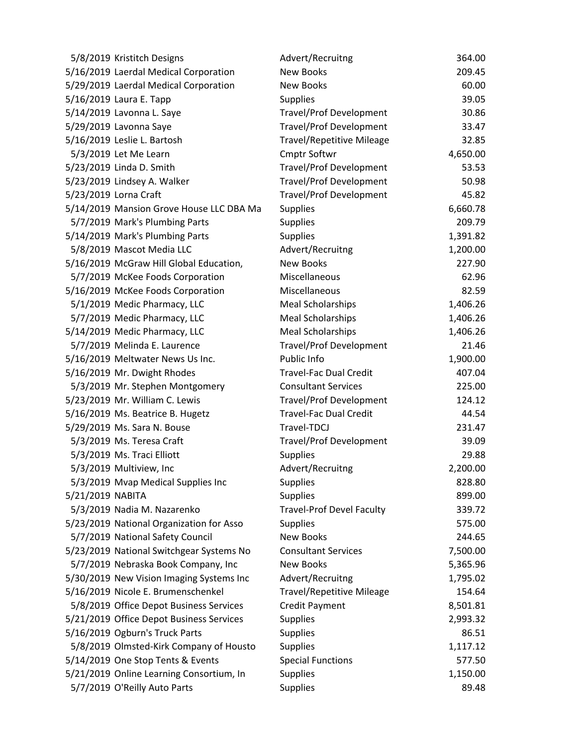| 5/8/2019 Kristitch Designs               | Advert/Recruitng                 | 364.00   |
|------------------------------------------|----------------------------------|----------|
| 5/16/2019 Laerdal Medical Corporation    | <b>New Books</b>                 | 209.45   |
| 5/29/2019 Laerdal Medical Corporation    | <b>New Books</b>                 | 60.00    |
| 5/16/2019 Laura E. Tapp                  | <b>Supplies</b>                  | 39.05    |
| 5/14/2019 Lavonna L. Saye                | <b>Travel/Prof Development</b>   | 30.86    |
| 5/29/2019 Lavonna Saye                   | <b>Travel/Prof Development</b>   | 33.47    |
| 5/16/2019 Leslie L. Bartosh              | <b>Travel/Repetitive Mileage</b> | 32.85    |
| 5/3/2019 Let Me Learn                    | <b>Cmptr Softwr</b>              | 4,650.00 |
| 5/23/2019 Linda D. Smith                 | <b>Travel/Prof Development</b>   | 53.53    |
| 5/23/2019 Lindsey A. Walker              | <b>Travel/Prof Development</b>   | 50.98    |
| 5/23/2019 Lorna Craft                    | <b>Travel/Prof Development</b>   | 45.82    |
| 5/14/2019 Mansion Grove House LLC DBA Ma | <b>Supplies</b>                  | 6,660.78 |
| 5/7/2019 Mark's Plumbing Parts           | <b>Supplies</b>                  | 209.79   |
| 5/14/2019 Mark's Plumbing Parts          | <b>Supplies</b>                  | 1,391.82 |
| 5/8/2019 Mascot Media LLC                | Advert/Recruitng                 | 1,200.00 |
| 5/16/2019 McGraw Hill Global Education,  | <b>New Books</b>                 | 227.90   |
| 5/7/2019 McKee Foods Corporation         | Miscellaneous                    | 62.96    |
| 5/16/2019 McKee Foods Corporation        | Miscellaneous                    | 82.59    |
| 5/1/2019 Medic Pharmacy, LLC             | <b>Meal Scholarships</b>         | 1,406.26 |
| 5/7/2019 Medic Pharmacy, LLC             | <b>Meal Scholarships</b>         | 1,406.26 |
| 5/14/2019 Medic Pharmacy, LLC            | <b>Meal Scholarships</b>         | 1,406.26 |
| 5/7/2019 Melinda E. Laurence             | <b>Travel/Prof Development</b>   | 21.46    |
| 5/16/2019 Meltwater News Us Inc.         | Public Info                      | 1,900.00 |
| 5/16/2019 Mr. Dwight Rhodes              | <b>Travel-Fac Dual Credit</b>    | 407.04   |
| 5/3/2019 Mr. Stephen Montgomery          | <b>Consultant Services</b>       | 225.00   |
| 5/23/2019 Mr. William C. Lewis           | <b>Travel/Prof Development</b>   | 124.12   |
| 5/16/2019 Ms. Beatrice B. Hugetz         | <b>Travel-Fac Dual Credit</b>    | 44.54    |
| 5/29/2019 Ms. Sara N. Bouse              | Travel-TDCJ                      | 231.47   |
| 5/3/2019 Ms. Teresa Craft                | <b>Travel/Prof Development</b>   | 39.09    |
| 5/3/2019 Ms. Traci Elliott               | <b>Supplies</b>                  | 29.88    |
| 5/3/2019 Multiview, Inc                  | Advert/Recruitng                 | 2,200.00 |
| 5/3/2019 Mvap Medical Supplies Inc       | <b>Supplies</b>                  | 828.80   |
| 5/21/2019 NABITA                         | <b>Supplies</b>                  | 899.00   |
| 5/3/2019 Nadia M. Nazarenko              | <b>Travel-Prof Devel Faculty</b> | 339.72   |
| 5/23/2019 National Organization for Asso | <b>Supplies</b>                  | 575.00   |
| 5/7/2019 National Safety Council         | <b>New Books</b>                 | 244.65   |
| 5/23/2019 National Switchgear Systems No | <b>Consultant Services</b>       | 7,500.00 |
| 5/7/2019 Nebraska Book Company, Inc      | <b>New Books</b>                 | 5,365.96 |
| 5/30/2019 New Vision Imaging Systems Inc | Advert/Recruitng                 | 1,795.02 |
| 5/16/2019 Nicole E. Brumenschenkel       | <b>Travel/Repetitive Mileage</b> | 154.64   |
| 5/8/2019 Office Depot Business Services  | Credit Payment                   | 8,501.81 |
| 5/21/2019 Office Depot Business Services | <b>Supplies</b>                  | 2,993.32 |
| 5/16/2019 Ogburn's Truck Parts           | <b>Supplies</b>                  | 86.51    |
| 5/8/2019 Olmsted-Kirk Company of Housto  | <b>Supplies</b>                  | 1,117.12 |
| 5/14/2019 One Stop Tents & Events        | <b>Special Functions</b>         | 577.50   |
| 5/21/2019 Online Learning Consortium, In | <b>Supplies</b>                  | 1,150.00 |
| 5/7/2019 O'Reilly Auto Parts             | <b>Supplies</b>                  | 89.48    |
|                                          |                                  |          |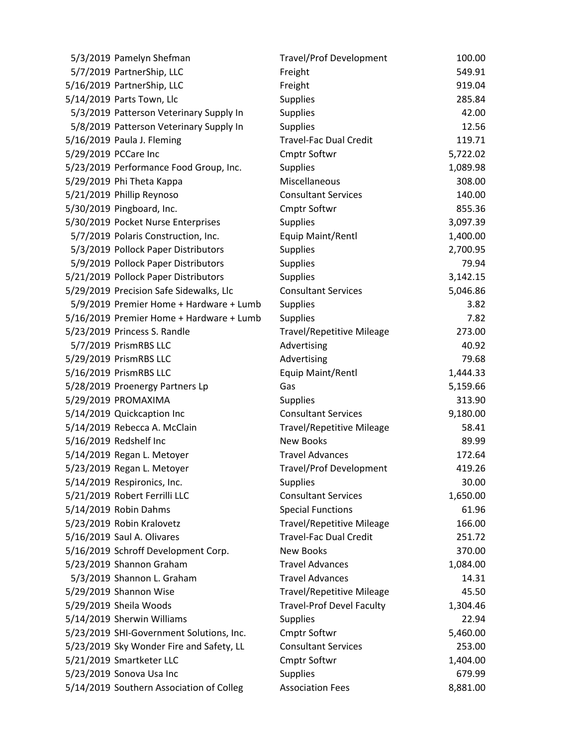| 5/3/2019 Pamelyn Shefman                 | <b>Travel/Prof Development</b>   | 100.00   |
|------------------------------------------|----------------------------------|----------|
| 5/7/2019 PartnerShip, LLC                | Freight                          | 549.91   |
| 5/16/2019 PartnerShip, LLC               | Freight                          | 919.04   |
| 5/14/2019 Parts Town, Llc                | <b>Supplies</b>                  | 285.84   |
| 5/3/2019 Patterson Veterinary Supply In  | Supplies                         | 42.00    |
| 5/8/2019 Patterson Veterinary Supply In  | <b>Supplies</b>                  | 12.56    |
| 5/16/2019 Paula J. Fleming               | <b>Travel-Fac Dual Credit</b>    | 119.71   |
| 5/29/2019 PCCare Inc                     | <b>Cmptr Softwr</b>              | 5,722.02 |
| 5/23/2019 Performance Food Group, Inc.   | <b>Supplies</b>                  | 1,089.98 |
| 5/29/2019 Phi Theta Kappa                | Miscellaneous                    | 308.00   |
| 5/21/2019 Phillip Reynoso                | <b>Consultant Services</b>       | 140.00   |
| 5/30/2019 Pingboard, Inc.                | <b>Cmptr Softwr</b>              | 855.36   |
| 5/30/2019 Pocket Nurse Enterprises       | <b>Supplies</b>                  | 3,097.39 |
| 5/7/2019 Polaris Construction, Inc.      | Equip Maint/Rentl                | 1,400.00 |
| 5/3/2019 Pollock Paper Distributors      | <b>Supplies</b>                  | 2,700.95 |
| 5/9/2019 Pollock Paper Distributors      | <b>Supplies</b>                  | 79.94    |
| 5/21/2019 Pollock Paper Distributors     | <b>Supplies</b>                  | 3,142.15 |
| 5/29/2019 Precision Safe Sidewalks, Llc  | <b>Consultant Services</b>       | 5,046.86 |
| 5/9/2019 Premier Home + Hardware + Lumb  | <b>Supplies</b>                  | 3.82     |
| 5/16/2019 Premier Home + Hardware + Lumb | <b>Supplies</b>                  | 7.82     |
| 5/23/2019 Princess S. Randle             | <b>Travel/Repetitive Mileage</b> | 273.00   |
| 5/7/2019 PrismRBS LLC                    | Advertising                      | 40.92    |
| 5/29/2019 PrismRBS LLC                   | Advertising                      | 79.68    |
| 5/16/2019 PrismRBS LLC                   | Equip Maint/Rentl                | 1,444.33 |
| 5/28/2019 Proenergy Partners Lp          | Gas                              | 5,159.66 |
| 5/29/2019 PROMAXIMA                      | <b>Supplies</b>                  | 313.90   |
| 5/14/2019 Quickcaption Inc               | <b>Consultant Services</b>       | 9,180.00 |
| 5/14/2019 Rebecca A. McClain             | <b>Travel/Repetitive Mileage</b> | 58.41    |
| 5/16/2019 Redshelf Inc                   | <b>New Books</b>                 | 89.99    |
| 5/14/2019 Regan L. Metoyer               | <b>Travel Advances</b>           | 172.64   |
| 5/23/2019 Regan L. Metoyer               | <b>Travel/Prof Development</b>   | 419.26   |
| 5/14/2019 Respironics, Inc.              | <b>Supplies</b>                  | 30.00    |
| 5/21/2019 Robert Ferrilli LLC            | <b>Consultant Services</b>       | 1,650.00 |
| 5/14/2019 Robin Dahms                    | <b>Special Functions</b>         | 61.96    |
| 5/23/2019 Robin Kralovetz                | <b>Travel/Repetitive Mileage</b> | 166.00   |
| 5/16/2019 Saul A. Olivares               | <b>Travel-Fac Dual Credit</b>    | 251.72   |
| 5/16/2019 Schroff Development Corp.      | <b>New Books</b>                 | 370.00   |
| 5/23/2019 Shannon Graham                 | <b>Travel Advances</b>           | 1,084.00 |
| 5/3/2019 Shannon L. Graham               | <b>Travel Advances</b>           | 14.31    |
| 5/29/2019 Shannon Wise                   | <b>Travel/Repetitive Mileage</b> | 45.50    |
| 5/29/2019 Sheila Woods                   | <b>Travel-Prof Devel Faculty</b> | 1,304.46 |
| 5/14/2019 Sherwin Williams               | <b>Supplies</b>                  | 22.94    |
| 5/23/2019 SHI-Government Solutions, Inc. | <b>Cmptr Softwr</b>              | 5,460.00 |
| 5/23/2019 Sky Wonder Fire and Safety, LL | <b>Consultant Services</b>       | 253.00   |
| 5/21/2019 Smartketer LLC                 | <b>Cmptr Softwr</b>              | 1,404.00 |
| 5/23/2019 Sonova Usa Inc                 | <b>Supplies</b>                  | 679.99   |
| 5/14/2019 Southern Association of Colleg | <b>Association Fees</b>          | 8,881.00 |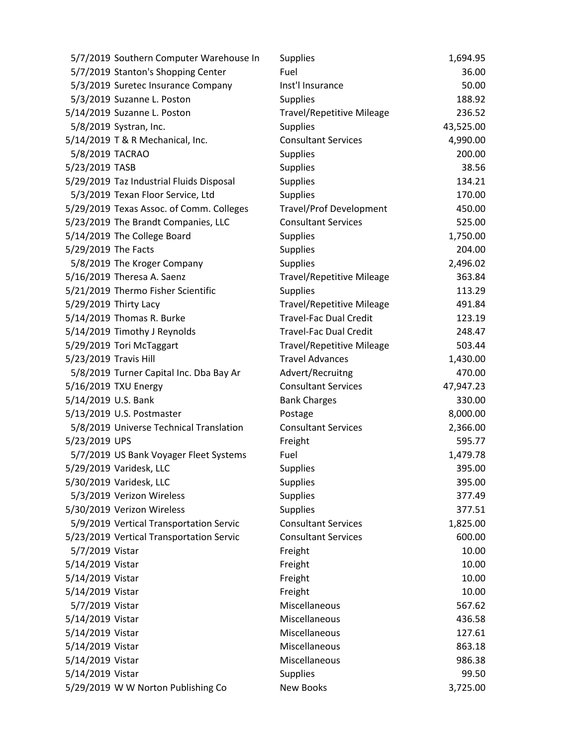| 5/7/2019 Southern Computer Warehouse In  | <b>Supplies</b>                  | 1,694.95  |
|------------------------------------------|----------------------------------|-----------|
| 5/7/2019 Stanton's Shopping Center       | Fuel                             | 36.00     |
| 5/3/2019 Suretec Insurance Company       | Inst'l Insurance                 | 50.00     |
| 5/3/2019 Suzanne L. Poston               | <b>Supplies</b>                  | 188.92    |
| 5/14/2019 Suzanne L. Poston              | <b>Travel/Repetitive Mileage</b> | 236.52    |
| 5/8/2019 Systran, Inc.                   | <b>Supplies</b>                  | 43,525.00 |
| 5/14/2019 T & R Mechanical, Inc.         | <b>Consultant Services</b>       | 4,990.00  |
| 5/8/2019 TACRAO                          | Supplies                         | 200.00    |
| 5/23/2019 TASB                           | <b>Supplies</b>                  | 38.56     |
| 5/29/2019 Taz Industrial Fluids Disposal | <b>Supplies</b>                  | 134.21    |
| 5/3/2019 Texan Floor Service, Ltd        | <b>Supplies</b>                  | 170.00    |
| 5/29/2019 Texas Assoc. of Comm. Colleges | <b>Travel/Prof Development</b>   | 450.00    |
| 5/23/2019 The Brandt Companies, LLC      | <b>Consultant Services</b>       | 525.00    |
| 5/14/2019 The College Board              | <b>Supplies</b>                  | 1,750.00  |
| 5/29/2019 The Facts                      | <b>Supplies</b>                  | 204.00    |
| 5/8/2019 The Kroger Company              | <b>Supplies</b>                  | 2,496.02  |
| 5/16/2019 Theresa A. Saenz               | <b>Travel/Repetitive Mileage</b> | 363.84    |
| 5/21/2019 Thermo Fisher Scientific       | <b>Supplies</b>                  | 113.29    |
| 5/29/2019 Thirty Lacy                    | <b>Travel/Repetitive Mileage</b> | 491.84    |
| 5/14/2019 Thomas R. Burke                | <b>Travel-Fac Dual Credit</b>    | 123.19    |
| 5/14/2019 Timothy J Reynolds             | <b>Travel-Fac Dual Credit</b>    | 248.47    |
| 5/29/2019 Tori McTaggart                 | <b>Travel/Repetitive Mileage</b> | 503.44    |
| 5/23/2019 Travis Hill                    | <b>Travel Advances</b>           | 1,430.00  |
| 5/8/2019 Turner Capital Inc. Dba Bay Ar  | Advert/Recruitng                 | 470.00    |
| 5/16/2019 TXU Energy                     | <b>Consultant Services</b>       | 47,947.23 |
| 5/14/2019 U.S. Bank                      | <b>Bank Charges</b>              | 330.00    |
| 5/13/2019 U.S. Postmaster                | Postage                          | 8,000.00  |
| 5/8/2019 Universe Technical Translation  | <b>Consultant Services</b>       | 2,366.00  |
| 5/23/2019 UPS                            | Freight                          | 595.77    |
| 5/7/2019 US Bank Voyager Fleet Systems   | Fuel                             | 1,479.78  |
| 5/29/2019 Varidesk, LLC                  | <b>Supplies</b>                  | 395.00    |
| 5/30/2019 Varidesk, LLC                  | <b>Supplies</b>                  | 395.00    |
| 5/3/2019 Verizon Wireless                | <b>Supplies</b>                  | 377.49    |
| 5/30/2019 Verizon Wireless               | <b>Supplies</b>                  | 377.51    |
| 5/9/2019 Vertical Transportation Servic  | <b>Consultant Services</b>       | 1,825.00  |
| 5/23/2019 Vertical Transportation Servic | <b>Consultant Services</b>       | 600.00    |
| 5/7/2019 Vistar                          | Freight                          | 10.00     |
| 5/14/2019 Vistar                         | Freight                          | 10.00     |
| 5/14/2019 Vistar                         | Freight                          | 10.00     |
| 5/14/2019 Vistar                         | Freight                          | 10.00     |
| 5/7/2019 Vistar                          | Miscellaneous                    | 567.62    |
| 5/14/2019 Vistar                         | Miscellaneous                    | 436.58    |
| 5/14/2019 Vistar                         | Miscellaneous                    | 127.61    |
| 5/14/2019 Vistar                         | Miscellaneous                    | 863.18    |
| 5/14/2019 Vistar                         | Miscellaneous                    | 986.38    |
| 5/14/2019 Vistar                         | <b>Supplies</b>                  | 99.50     |
| 5/29/2019 W W Norton Publishing Co       | New Books                        | 3,725.00  |